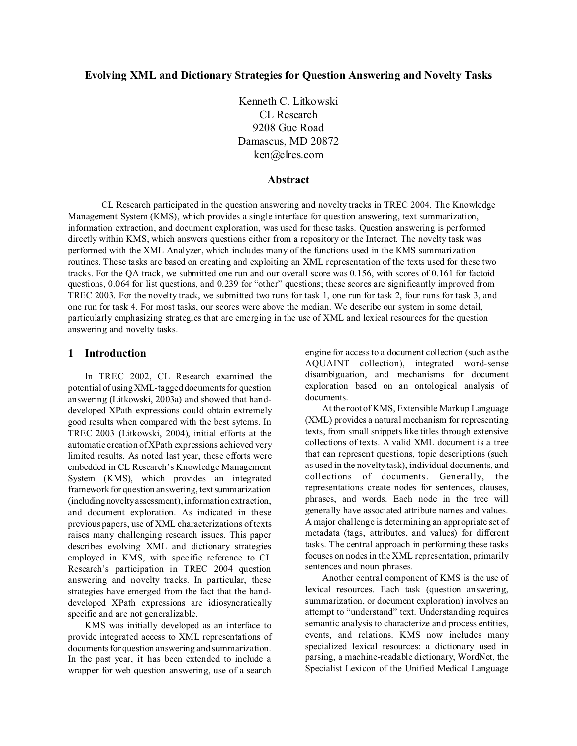# **Evolving XML and Dictionary Strategies for Question Answering and Novelty Tasks**

Kenneth C. Litkowski CL Research 9208 Gue Road Damascus, MD 20872 ken@clres.com

#### **Abstract**

CL Research participated in the question answering and novelty tracks in TREC 2004. The Knowledge Management System (KMS), which provides a single interface for question answering, text summarization, information extraction, and document exploration, was used for these tasks. Question answering is performed directly within KMS, which answers questions either from a repository or the Internet. The novelty task was performed with the XML Analyzer, which includes many of the functions used in the KMS summarization routines. These tasks are based on creating and exploiting an XML representation of the texts used for these two tracks. For the QA track, we submitted one run and our overall score was 0.156, with scores of 0.161 for factoid questions, 0.064 for list questions, and 0.239 for "other" questions; these scores are significantly improved from TREC 2003. For the novelty track, we submitted two runs for task 1, one run for task 2, four runs for task 3, and one run for task 4. For most tasks, our scores were above the median. We describe our system in some detail, particularly emphasizing strategies that are emerging in the use of XML and lexical resources for the question answering and novelty tasks.

# **1 Introduction**

In TREC 2002, CL Research examined the potential of using XML-tagged documents for question answering (Litkowski, 2003a) and showed that handdeveloped XPath expressions could obtain extremely good results when compared with the best sytems. In TREC 2003 (Litkowski, 2004), initial efforts at the automatic creation of XPath expressions achieved very limited results. As noted last year, these efforts were embedded in CL Research's Knowledge Management System (KMS), which provides an integrated framework for question answering, text summarization (includingnovelty assessment), information extraction, and document exploration. As indicated in these previous papers, use of XML characterizations of texts raises many challenging research issues. This paper describes evolving XML and dictionary strategies employed in KMS, with specific reference to CL Research's participation in TREC 2004 question answering and novelty tracks. In particular, these strategies have emerged from the fact that the handdeveloped XPath expressions are idiosyncratically specific and are not generalizable.

KMS was initially developed as an interface to provide integrated access to XML representations of documents for question answering and summarization. In the past year, it has been extended to include a wrapper for web question answering, use of a search

engine for access to a document collection (such as the AQUAINT collection), integrated word-sense disambiguation, and mechanisms for document exploration based on an ontological analysis of documents.

At the root of KMS, Extensible Markup Language (XML) provides a natural mechanism for representing texts, from small snippets like titles through extensive collections of texts. A valid XML document is a tree that can represent questions, topic descriptions (such as used in the novelty task), individual documents, and collections of documents. Generally, the representations create nodes for sentences, clauses, phrases, and words. Each node in the tree will generally have associated attribute names and values. A major challenge is determining an appropriate set of metadata (tags, attributes, and values) for different tasks. The central approach in performing these tasks focuses on nodes in the XML representation, primarily sentences and noun phrases.

Another central component of KMS is the use of lexical resources. Each task (question answering, summarization, or document exploration) involves an attempt to "understand" text. Understanding requires semantic analysis to characterize and process entities, events, and relations. KMS now includes many specialized lexical resources: a dictionary used in parsing, a machine-readable dictionary, WordNet, the Specialist Lexicon of the Unified Medical Language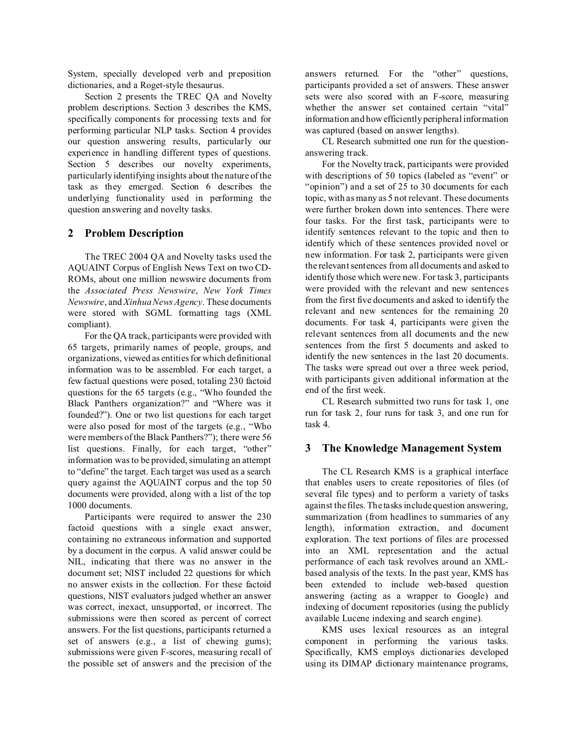System, specially developed verb and preposition dictionaries, and a Roget-style thesaurus.

Section 2 presents the TREC QA and Novelty problem descriptions. Section 3 describes the KMS, specifically components for processing texts and for performing particular NLP tasks. Section 4 provides our question answering results, particularly our experience in handling different types of questions. Section 5 describes our novelty experiments, particularly identifying insights about the nature of the task as they emerged. Section 6 describes the underlying functionality used in performing the question answering and novelty tasks.

# **2 Problem Description**

The TREC 2004 QA and Novelty tasks used the AQUAINT Corpus of English News Text on two CD-ROMs, about one million newswire documents from the *Associated Press Newswire*, *New York Times Newswire*, and *Xinhua News Agency*. These documents were stored with SGML formatting tags (XML compliant).

For the QA track, participants were provided with 65 targets, primarily names of people, groups, and organizations, viewed as entities for which definitional information was to be assembled. For each target, a few factual questions were posed, totaling 230 factoid questions for the 65 targets (e.g., "Who founded the Black Panthers organization?" and "Where was it founded?"). One or two list questions for each target were also posed for most of the targets (e.g., "Who were members of the Black Panthers?"); there were 56 list questions. Finally, for each target, "other" information was to be provided, simulating an attempt to "define" the target. Each target was used as a search query against the AQUAINT corpus and the top 50 documents were provided, along with a list of the top 1000 documents.

Participants were required to answer the 230 factoid questions with a single exact answer, containing no extraneous information and supported by a document in the corpus. A valid answer could be NIL, indicating that there was no answer in the document set; NIST included 22 questions for which no answer exists in the collection. For these factoid questions, NIST evaluators judged whether an answer was correct, inexact, unsupported, or incorrect. The submissions were then scored as percent of correct answers. For the list questions, participants returned a set of answers (e.g., a list of chewing gums); submissions were given F-scores, measuring recall of the possible set of answers and the precision of the answers returned. For the "other" questions, participants provided a set of answers. These answer sets were also scored with an F-score, measuring whether the answer set contained certain "vital" information and how efficiently peripheral information was captured (based on answer lengths).

CL Research submitted one run for the questionanswering track.

For the Novelty track, participants were provided with descriptions of 50 topics (labeled as "event" or "opinion") and a set of 25 to 30 documents for each topic, with as many as 5 not relevant. These documents were further broken down into sentences. There were four tasks. For the first task, participants were to identify sentences relevant to the topic and then to identify which of these sentences provided novel or new information. For task 2, participants were given the relevant sentences from all documents and asked to identify those which were new. For task 3, participants were provided with the relevant and new sentences from the first five documents and asked to identify the relevant and new sentences for the remaining 20 documents. For task 4, participants were given the relevant sentences from all documents and the new sentences from the first 5 documents and asked to identify the new sentences in the last 20 documents. The tasks were spread out over a three week period, with participants given additional information at the end of the first week.

CL Research submitted two runs for task 1, one run for task 2, four runs for task 3, and one run for task 4.

# **3 The Knowledge Management System**

The CL Research KMS is a graphical interface that enables users to create repositories of files (of several file types) and to perform a variety of tasks against the files. The tasks include question answering, summarization (from headlines to summaries of any length), information extraction, and document exploration. The text portions of files are processed into an XML representation and the actual performance of each task revolves around an XMLbased analysis of the texts. In the past year, KMS has been extended to include web-based question answering (acting as a wrapper to Google) and indexing of document repositories (using the publicly available Lucene indexing and search engine).

KMS uses lexical resources as an integral component in performing the various tasks. Specifically, KMS employs dictionaries developed using its DIMAP dictionary maintenance programs,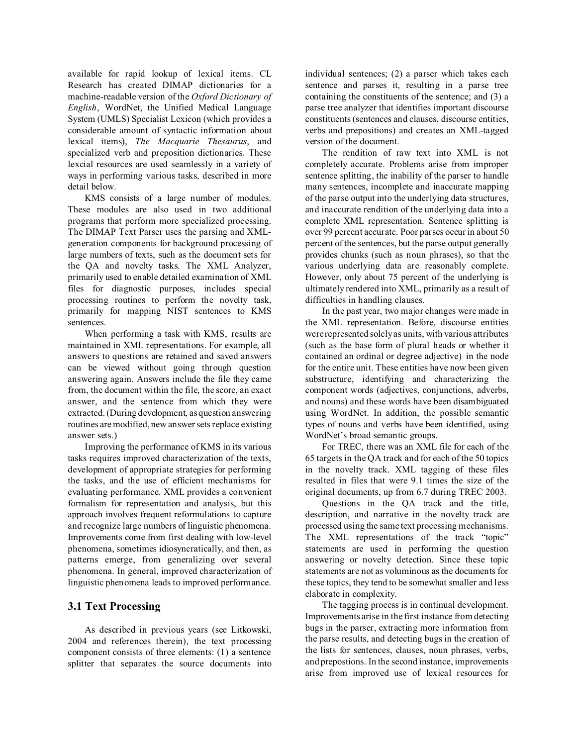available for rapid lookup of lexical items. CL Research has created DIMAP dictionaries for a machine-readable version of the *Oxford Dictionary of English*, WordNet, the Unified Medical Language System (UMLS) Specialist Lexicon (which provides a considerable amount of syntactic information about lexical items), *The Macquarie Thesaurus*, and specialized verb and preposition dictionaries. These lexcial resources are used seamlessly in a variety of ways in performing various tasks, described in more detail below.

KMS consists of a large number of modules. These modules are also used in two additional programs that perform more specialized processing. The DIMAP Text Parser uses the parsing and XMLgeneration components for background processing of large numbers of texts, such as the document sets for the QA and novelty tasks. The XML Analyzer, primarily used to enable detailed examination of XML files for diagnostic purposes, includes special processing routines to perform the novelty task, primarily for mapping NIST sentences to KMS sentences.

When performing a task with KMS, results are maintained in XML representations. For example, all answers to questions are retained and saved answers can be viewed without going through question answering again. Answers include the file they came from, the document within the file, the score, an exact answer, and the sentence from which they were extracted. (During development, as question answering routines are modified, new answer sets replace existing answer sets.)

Improving the performance of KMS in its various tasks requires improved characterization of the texts, development of appropriate strategies for performing the tasks, and the use of efficient mechanisms for evaluating performance. XML provides a convenient formalism for representation and analysis, but this approach involves frequent reformulations to capture and recognize large numbers of linguistic phenomena. Improvements come from first dealing with low-level phenomena, sometimes idiosyncratically, and then, as patterns emerge, from generalizing over several phenomena. In general, improved characterization of linguistic phenomena leads to improved performance.

# **3.1 Text Processing**

As described in previous years (see Litkowski, 2004 and references therein), the text processing component consists of three elements: (1) a sentence splitter that separates the source documents into individual sentences; (2) a parser which takes each sentence and parses it, resulting in a parse tree containing the constituents of the sentence; and (3) a parse tree analyzer that identifies important discourse constituents (sentences and clauses, discourse entities, verbs and prepositions) and creates an XML-tagged version of the document.

The rendition of raw text into XML is not completely accurate. Problems arise from improper sentence splitting, the inability of the parser to handle many sentences, incomplete and inaccurate mapping of the parse output into the underlying data structures, and inaccurate rendition of the underlying data into a complete XML representation. Sentence splitting is over 99 percent accurate. Poor parses occur in about 50 percent of the sentences, but the parse output generally provides chunks (such as noun phrases), so that the various underlying data are reasonably complete. However, only about 75 percent of the underlying is ultimately rendered into XML, primarily as a result of difficulties in handling clauses.

In the past year, two major changes were made in the XML representation. Before, discourse entities were represented solely as units, with various attributes (such as the base form of plural heads or whether it contained an ordinal or degree adjective) in the node for the entire unit. These entities have now been given substructure, identifying and characterizing the component words (adjectives, conjunctions, adverbs, and nouns) and these words have been disambiguated using WordNet. In addition, the possible semantic types of nouns and verbs have been identified, using WordNet's broad semantic groups.

For TREC, there was an XML file for each of the 65 targets in the QA track and for each of the 50 topics in the novelty track. XML tagging of these files resulted in files that were 9.1 times the size of the original documents, up from 6.7 during TREC 2003.

Questions in the QA track and the title, description, and narrative in the novelty track are processed using the same text processing mechanisms. The XML representations of the track "topic" statements are used in performing the question answering or novelty detection. Since these topic statements are not as voluminous as the documents for these topics, they tend to be somewhat smaller and less elaborate in complexity.

The tagging process is in continual development. Improvements arise in the first instance from detecting bugs in the parser, extracting more information from the parse results, and detecting bugs in the creation of the lists for sentences, clauses, noun phrases, verbs, and prepostions. In the second instance, improvements arise from improved use of lexical resources for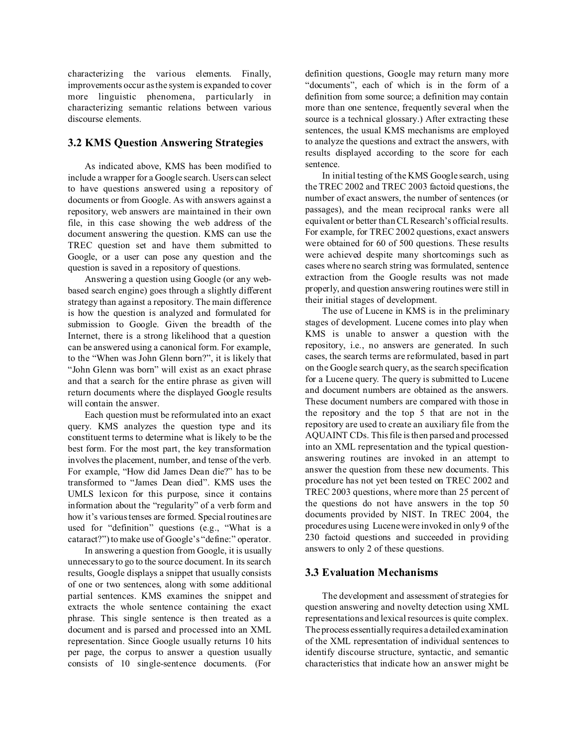characterizing the various elements. Finally, improvements occur as the system is expanded to cover more linguistic phenomena, particularly in characterizing semantic relations between various discourse elements.

# **3.2 KMS Question Answering Strategies**

As indicated above, KMS has been modified to include a wrapper for a Google search. Users can select to have questions answered using a repository of documents or from Google. As with answers against a repository, web answers are maintained in their own file, in this case showing the web address of the document answering the question. KMS can use the TREC question set and have them submitted to Google, or a user can pose any question and the question is saved in a repository of questions.

Answering a question using Google (or any webbased search engine) goes through a slightly different strategy than against a repository. The main difference is how the question is analyzed and formulated for submission to Google. Given the breadth of the Internet, there is a strong likelihood that a question can be answered using a canonical form. For example, to the "When was John Glenn born?", it is likely that "John Glenn was born" will exist as an exact phrase and that a search for the entire phrase as given will return documents where the displayed Google results will contain the answer.

Each question must be reformulated into an exact query. KMS analyzes the question type and its constituent terms to determine what is likely to be the best form. For the most part, the key transformation involves the placement, number, and tense of the verb. For example, "How did James Dean die?" has to be transformed to "James Dean died". KMS uses the UMLS lexicon for this purpose, since it contains information about the "regularity" of a verb form and how it's various tenses are formed. Special routines are used for "definition" questions (e.g., "What is a cataract?") to make use of Google's "define:" operator.

In answering a question from Google, it is usually unnecessary to go to the source document. In its search results, Google displays a snippet that usually consists of one or two sentences, along with some additional partial sentences. KMS examines the snippet and extracts the whole sentence containing the exact phrase. This single sentence is then treated as a document and is parsed and processed into an XML representation. Since Google usually returns 10 hits per page, the corpus to answer a question usually consists of 10 single-sentence documents. (For definition questions, Google may return many more "documents", each of which is in the form of a definition from some source; a definition may contain more than one sentence, frequently several when the source is a technical glossary.) After extracting these sentences, the usual KMS mechanisms are employed to analyze the questions and extract the answers, with results displayed according to the score for each sentence.

In initial testing of the KMS Google search, using the TREC 2002 and TREC 2003 factoid questions, the number of exact answers, the number of sentences (or passages), and the mean reciprocal ranks were all equivalent or better than CL Research's official results. For example, for TREC 2002 questions, exact answers were obtained for 60 of 500 questions. These results were achieved despite many shortcomings such as cases where no search string was formulated, sentence extraction from the Google results was not made properly, and question answering routines were still in their initial stages of development.

The use of Lucene in KMS is in the preliminary stages of development. Lucene comes into play when KMS is unable to answer a question with the repository, i.e., no answers are generated. In such cases, the search terms are reformulated, based in part on the Google search query, as the search specification for a Lucene query. The query is submitted to Lucene and document numbers are obtained as the answers. These document numbers are compared with those in the repository and the top 5 that are not in the repository are used to create an auxiliary file from the AQUAINT CDs. This file is then parsed and processed into an XML representation and the typical questionanswering routines are invoked in an attempt to answer the question from these new documents. This procedure has not yet been tested on TREC 2002 and TREC 2003 questions, where more than 25 percent of the questions do not have answers in the top 50 documents provided by NIST. In TREC 2004, the procedures using Lucene were invoked in only 9 of the 230 factoid questions and succeeded in providing answers to only 2 of these questions.

# **3.3 Evaluation Mechanisms**

The development and assessment of strategies for question answering and novelty detection using XML representations and lexical resources is quite complex. The process essentially requires a detailed examination of the XML representation of individual sentences to identify discourse structure, syntactic, and semantic characteristics that indicate how an answer might be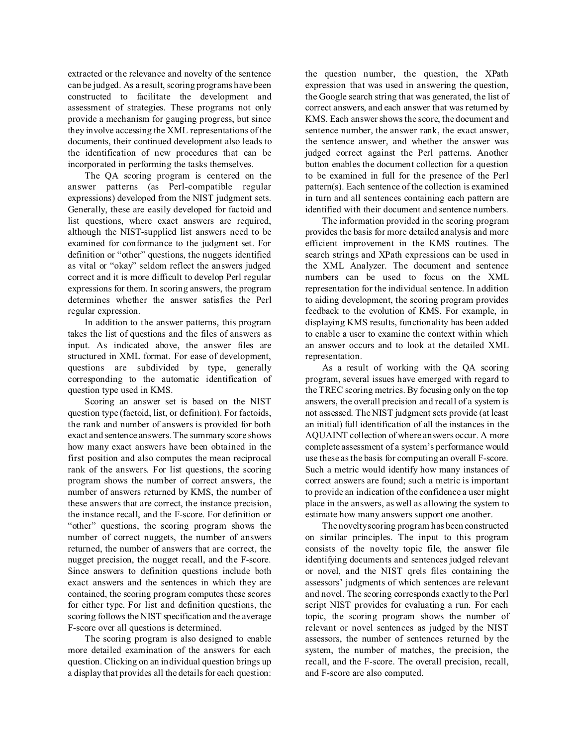extracted or the relevance and novelty of the sentence can be judged. As a result, scoring programs have been constructed to facilitate the development and assessment of strategies. These programs not only provide a mechanism for gauging progress, but since they involve accessing the XML representations of the documents, their continued development also leads to the identification of new procedures that can be incorporated in performing the tasks themselves.

The QA scoring program is centered on the answer patterns (as Perl-compatible regular expressions) developed from the NIST judgment sets. Generally, these are easily developed for factoid and list questions, where exact answers are required, although the NIST-supplied list answers need to be examined for conformance to the judgment set. For definition or "other" questions, the nuggets identified as vital or "okay" seldom reflect the answers judged correct and it is more difficult to develop Perl regular expressions for them. In scoring answers, the program determines whether the answer satisfies the Perl regular expression.

In addition to the answer patterns, this program takes the list of questions and the files of answers as input. As indicated above, the answer files are structured in XML format. For ease of development, questions are subdivided by type, generally corresponding to the automatic identification of question type used in KMS.

Scoring an answer set is based on the NIST question type (factoid, list, or definition). For factoids, the rank and number of answers is provided for both exact and sentence answers. The summary score shows how many exact answers have been obtained in the first position and also computes the mean reciprocal rank of the answers. For list questions, the scoring program shows the number of correct answers, the number of answers returned by KMS, the number of these answers that are correct, the instance precision, the instance recall, and the F-score. For definition or "other" questions, the scoring program shows the number of correct nuggets, the number of answers returned, the number of answers that are correct, the nugget precision, the nugget recall, and the F-score. Since answers to definition questions include both exact answers and the sentences in which they are contained, the scoring program computes these scores for either type. For list and definition questions, the scoring follows the NIST specification and the average F-score over all questions is determined.

The scoring program is also designed to enable more detailed examination of the answers for each question. Clicking on an individual question brings up a display that provides all the details for each question:

the question number, the question, the XPath expression that was used in answering the question, the Google search string that was generated, the list of correct answers, and each answer that was returned by KMS. Each answer shows the score, the document and sentence number, the answer rank, the exact answer, the sentence answer, and whether the answer was judged correct against the Perl patterns. Another button enables the document collection for a question to be examined in full for the presence of the Perl pattern(s). Each sentence of the collection is examined in turn and all sentences containing each pattern are identified with their document and sentence numbers.

The information provided in the scoring program provides the basis for more detailed analysis and more efficient improvement in the KMS routines. The search strings and XPath expressions can be used in the XML Analyzer. The document and sentence numbers can be used to focus on the XML representation for the individual sentence. In addition to aiding development, the scoring program provides feedback to the evolution of KMS. For example, in displaying KMS results, functionality has been added to enable a user to examine the context within which an answer occurs and to look at the detailed XML representation.

As a result of working with the QA scoring program, several issues have emerged with regard to the TREC scoring metrics. By focusing only on the top answers, the overall precision and recall of a system is not assessed. The NIST judgment sets provide (at least an initial) full identification of all the instances in the AQUAINT collection of where answers occur. A more complete assessment of a system's performance would use these as the basis for computing an overall F-score. Such a metric would identify how many instances of correct answers are found; such a metric is important to provide an indication of the confidence a user might place in the answers, as well as allowing the system to estimate how many answers support one another.

The novelty scoring program has been constructed on similar principles. The input to this program consists of the novelty topic file, the answer file identifying documents and sentences judged relevant or novel, and the NIST qrels files containing the assessors' judgments of which sentences are relevant and novel. The scoring corresponds exactly to the Perl script NIST provides for evaluating a run. For each topic, the scoring program shows the number of relevant or novel sentences as judged by the NIST assessors, the number of sentences returned by the system, the number of matches, the precision, the recall, and the F-score. The overall precision, recall, and F-score are also computed.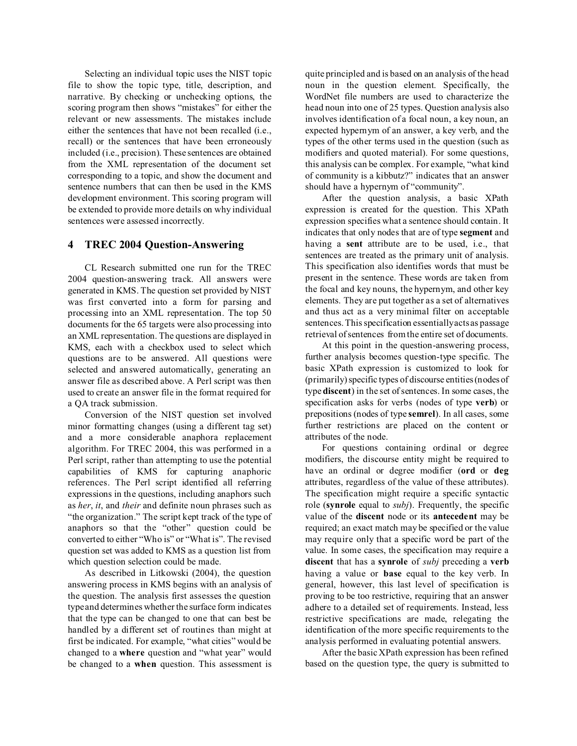Selecting an individual topic uses the NIST topic file to show the topic type, title, description, and narrative. By checking or unchecking options, the scoring program then shows "mistakes" for either the relevant or new assessments. The mistakes include either the sentences that have not been recalled (i.e., recall) or the sentences that have been erroneously included (i.e., precision). These sentences are obtained from the XML representation of the document set corresponding to a topic, and show the document and sentence numbers that can then be used in the KMS development environment. This scoring program will be extended to provide more details on why individual sentences were assessed incorrectly.

# **4 TREC 2004 Question-Answering**

CL Research submitted one run for the TREC 2004 question-answering track. All answers were generated in KMS. The question set provided by NIST was first converted into a form for parsing and processing into an XML representation. The top 50 documents for the 65 targets were also processing into an XML representation. The questions are displayed in KMS, each with a checkbox used to select which questions are to be answered. All questions were selected and answered automatically, generating an answer file as described above. A Perl script was then used to create an answer file in the format required for a QA track submission.

Conversion of the NIST question set involved minor formatting changes (using a different tag set) and a more considerable anaphora replacement algorithm. For TREC 2004, this was performed in a Perl script, rather than attempting to use the potential capabilities of KMS for capturing anaphoric references. The Perl script identified all referring expressions in the questions, including anaphors such as *her*, *it*, and *their* and definite noun phrases such as "the organization." The script kept track of the type of anaphors so that the "other" question could be converted to either "Who is" or "What is". The revised question set was added to KMS as a question list from which question selection could be made.

As described in Litkowski (2004), the question answering process in KMS begins with an analysis of the question. The analysis first assesses the question type and determines whether the surface form indicates that the type can be changed to one that can best be handled by a different set of routines than might at first be indicated. For example, "what cities" would be changed to a **where** question and "what year" would be changed to a **when** question. This assessment is quite principled and is based on an analysis of the head noun in the question element. Specifically, the WordNet file numbers are used to characterize the head noun into one of 25 types. Question analysis also involves identification of a focal noun, a key noun, an expected hypernym of an answer, a key verb, and the types of the other terms used in the question (such as modifiers and quoted material). For some questions, this analysis can be complex. For example, "what kind of community is a kibbutz?" indicates that an answer should have a hypernym of "community".

After the question analysis, a basic XPath expression is created for the question. This XPath expression specifies what a sentence should contain. It indicates that only nodes that are of type **segment** and having a **sent** attribute are to be used, i.e., that sentences are treated as the primary unit of analysis. This specification also identifies words that must be present in the sentence. These words are taken from the focal and key nouns, the hypernym, and other key elements. They are put together as a set of alternatives and thus act as a very minimal filter on acceptable sentences. This specification essentially acts as passage retrieval of sentences from the entire set of documents.

At this point in the question-answering process, further analysis becomes question-type specific. The basic XPath expression is customized to look for (primarily) specific types of discourse entities (nodes of type **discent**) in the set of sentences. In some cases, the specification asks for verbs (nodes of type **verb**) or prepositions (nodes of type **semrel**). In all cases, some further restrictions are placed on the content or attributes of the node.

For questions containing ordinal or degree modifiers, the discourse entity might be required to have an ordinal or degree modifier (**ord** or **deg** attributes, regardless of the value of these attributes). The specification might require a specific syntactic role (**synrole** equal to *subj*). Frequently, the specific value of the **discent** node or its **antecedent** may be required; an exact match may be specified or the value may require only that a specific word be part of the value. In some cases, the specification may require a **discent** that has a **synrole** of *subj* preceding a **verb** having a value or **base** equal to the key verb. In general, however, this last level of specification is proving to be too restrictive, requiring that an answer adhere to a detailed set of requirements. Instead, less restrictive specifications are made, relegating the identification of the more specific requirements to the analysis performed in evaluating potential answers.

After the basic XPath expression has been refined based on the question type, the query is submitted to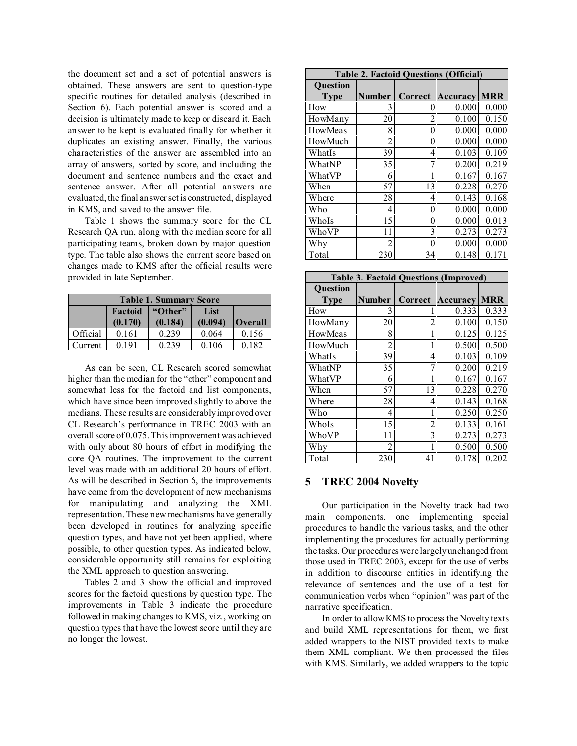the document set and a set of potential answers is obtained. These answers are sent to question-type specific routines for detailed analysis (described in Section 6). Each potential answer is scored and a decision is ultimately made to keep or discard it. Each answer to be kept is evaluated finally for whether it duplicates an existing answer. Finally, the various characteristics of the answer are assembled into an array of answers, sorted by score, and including the document and sentence numbers and the exact and sentence answer. After all potential answers are evaluated, the final answer set is constructed, displayed in KMS, and saved to the answer file.

Table 1 shows the summary score for the CL Research QA run, along with the median score for all participating teams, broken down by major question type. The table also shows the current score based on changes made to KMS after the official results were provided in late September.

| <b>Table 1. Summary Score</b> |                            |         |         |                |  |
|-------------------------------|----------------------------|---------|---------|----------------|--|
|                               | "Other"<br>Factoid<br>List |         |         |                |  |
|                               | (0.170)                    | (0.184) | (0.094) | <b>Overall</b> |  |
| Official                      | 0.161                      | 0.239   | 0.064   | 0.156          |  |
| Current                       | 0.191                      | 0.239   | 0.106   | 0.182          |  |

As can be seen, CL Research scored somewhat higher than the median for the "other" component and somewhat less for the factoid and list components, which have since been improved slightly to above the medians. These results are considerably improved over CL Research's performance in TREC 2003 with an overall score of 0.075. This improvement was achieved with only about 80 hours of effort in modifying the core QA routines. The improvement to the current level was made with an additional 20 hours of effort. As will be described in Section 6, the improvements have come from the development of new mechanisms for manipulating and analyzing the XML representation. These new mechanisms have generally been developed in routines for analyzing specific question types, and have not yet been applied, where possible, to other question types. As indicated below, considerable opportunity still remains for exploiting the XML approach to question answering.

Tables 2 and 3 show the official and improved scores for the factoid questions by question type. The improvements in Table 3 indicate the procedure followed in making changes to KMS, viz., working on question types that have the lowest score until they are no longer the lowest.

| <b>Table 2. Factoid Questions (Official)</b> |                |         |          |            |  |
|----------------------------------------------|----------------|---------|----------|------------|--|
| <b>Ouestion</b>                              |                |         |          |            |  |
| <b>Type</b>                                  | <b>Number</b>  | Correct | Accuracy | <b>MRR</b> |  |
| How                                          | 3              | 0       | 0.000    | 0.000      |  |
| HowMany                                      | 20             | 2       | 0.100    | 0.150      |  |
| HowMeas                                      | 8              | 0       | 0.000    | 0.000      |  |
| HowMuch                                      | 2              | 0       | 0.000    | 0.000      |  |
| WhatIs                                       | 39             | 4       | 0.103    | 0.109      |  |
| WhatNP                                       | 35             | 7       | 0.200    | 0.219      |  |
| WhatVP                                       | 6              |         | 0.167    | 0.167      |  |
| When                                         | 57             | 13      | 0.228    | 0.270      |  |
| Where                                        | 28             | 4       | 0.143    | 0.168      |  |
| Who                                          | 4              | 0       | 0.000    | 0.000      |  |
| WhoIs                                        | 15             | 0       | 0.000    | 0.013      |  |
| WhoVP                                        | 11             | 3       | 0.273    | 0.273      |  |
| Why                                          | $\mathfrak{D}$ | 0       | 0.000    | 0.000      |  |
| Total                                        | 230            | 34      | 0.148    | 0.171      |  |

| <b>Table 3. Factoid Questions (Improved)</b> |                |                |          |            |  |  |
|----------------------------------------------|----------------|----------------|----------|------------|--|--|
| <b>Ouestion</b>                              |                |                |          |            |  |  |
| <b>Type</b>                                  | Number         | Correct        | Accuracy | <b>MRR</b> |  |  |
| How                                          | 3              |                | 0.333    | 0.333      |  |  |
| HowMany                                      | 20             | $\overline{2}$ | 0.100    | 0.150      |  |  |
| HowMeas                                      | 8              | 1              | 0.125    | 0.125      |  |  |
| HowMuch                                      | 2              | 1              | 0.500    | 0.500      |  |  |
| WhatIs                                       | 39             | 4              | 0.103    | 0.109      |  |  |
| WhatNP                                       | 35             | 7              | 0.200    | 0.219      |  |  |
| WhatVP                                       | 6              | 1              | 0.167    | 0.167      |  |  |
| When                                         | 57             | 13             | 0.228    | 0.270      |  |  |
| Where                                        | 28             | 4              | 0.143    | 0.168      |  |  |
| Who                                          | 4              | 1              | 0.250    | 0.250      |  |  |
| WhoIs                                        | 15             | 2              | 0.133    | 0.161      |  |  |
| WhoVP                                        | 11             | 3              | 0.273    | 0.273      |  |  |
| Why                                          | $\mathfrak{D}$ | 1              | 0.500    | 0.500      |  |  |
| Total                                        | 230            | 41             | 0.178    | 0.202      |  |  |

#### **5 TREC 2004 Novelty**

Our participation in the Novelty track had two main components, one implementing special procedures to handle the various tasks, and the other implementing the procedures for actually performing the tasks. Our procedures were largely unchanged from those used in TREC 2003, except for the use of verbs in addition to discourse entities in identifying the relevance of sentences and the use of a test for communication verbs when "opinion" was part of the narrative specification.

In order to allow KMS to process the Novelty texts and build XML representations for them, we first added wrappers to the NIST provided texts to make them XML compliant. We then processed the files with KMS. Similarly, we added wrappers to the topic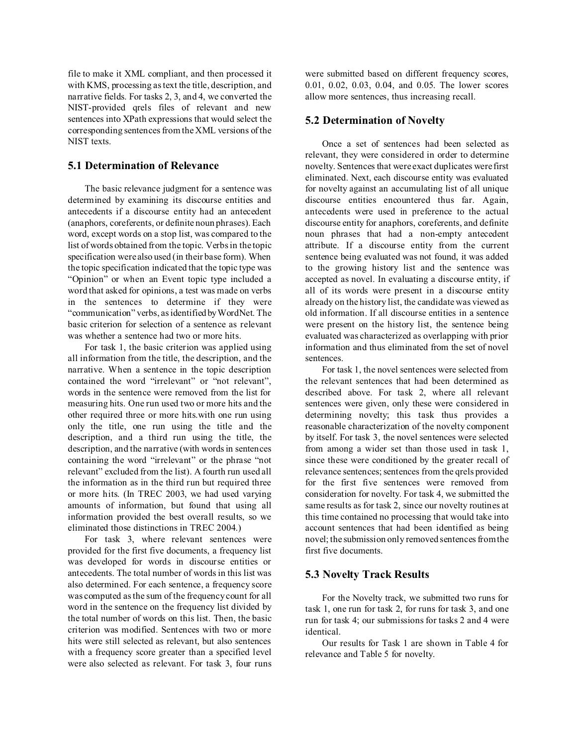file to make it XML compliant, and then processed it with KMS, processing as text the title, description, and narrative fields. For tasks 2, 3, and 4, we converted the NIST-provided qrels files of relevant and new sentences into XPath expressions that would select the corresponding sentences from the XML versions of the NIST texts.

# **5.1 Determination of Relevance**

The basic relevance judgment for a sentence was determined by examining its discourse entities and antecedents if a discourse entity had an antecedent (anaphors, coreferents, or definite noun phrases). Each word, except words on a stop list, was compared to the list of words obtained from the topic. Verbs in the topic specification were also used (in their base form). When the topic specification indicated that the topic type was "Opinion" or when an Event topic type included a word that asked for opinions, a test was made on verbs in the sentences to determine if they were "communication" verbs, as identified by WordNet. The basic criterion for selection of a sentence as relevant was whether a sentence had two or more hits.

For task 1, the basic criterion was applied using all information from the title, the description, and the narrative. When a sentence in the topic description contained the word "irrelevant" or "not relevant", words in the sentence were removed from the list for measuring hits. One run used two or more hits and the other required three or more hits.with one run using only the title, one run using the title and the description, and a third run using the title, the description, and the narrative (with words in sentences containing the word "irrelevant" or the phrase "not relevant" excluded from the list). A fourth run used all the information as in the third run but required three or more hits. (In TREC 2003, we had used varying amounts of information, but found that using all information provided the best overall results, so we eliminated those distinctions in TREC 2004.)

For task 3, where relevant sentences were provided for the first five documents, a frequency list was developed for words in discourse entities or antecedents. The total number of words in this list was also determined. For each sentence, a frequency score was computed as the sum of the frequency count for all word in the sentence on the frequency list divided by the total number of words on this list. Then, the basic criterion was modified. Sentences with two or more hits were still selected as relevant, but also sentences with a frequency score greater than a specified level were also selected as relevant. For task 3, four runs were submitted based on different frequency scores, 0.01, 0.02, 0.03, 0.04, and 0.05. The lower scores allow more sentences, thus increasing recall.

# **5.2 Determination of Novelty**

Once a set of sentences had been selected as relevant, they were considered in order to determine novelty. Sentences that were exact duplicates were first eliminated. Next, each discourse entity was evaluated for novelty against an accumulating list of all unique discourse entities encountered thus far. Again, antecedents were used in preference to the actual discourse entity for anaphors, coreferents, and definite noun phrases that had a non-empty antecedent attribute. If a discourse entity from the current sentence being evaluated was not found, it was added to the growing history list and the sentence was accepted as novel. In evaluating a discourse entity, if all of its words were present in a discourse entity already on the history list, the candidate was viewed as old information. If all discourse entities in a sentence were present on the history list, the sentence being evaluated was characterized as overlapping with prior information and thus eliminated from the set of novel sentences.

For task 1, the novel sentences were selected from the relevant sentences that had been determined as described above. For task 2, where all relevant sentences were given, only these were considered in determining novelty; this task thus provides a reasonable characterization of the novelty component by itself. For task 3, the novel sentences were selected from among a wider set than those used in task 1, since these were conditioned by the greater recall of relevance sentences; sentences from the qrels provided for the first five sentences were removed from consideration for novelty. For task 4, we submitted the same results as for task 2, since our novelty routines at this time contained no processing that would take into account sentences that had been identified as being novel; the submission only removed sentences from the first five documents.

# **5.3 Novelty Track Results**

For the Novelty track, we submitted two runs for task 1, one run for task 2, for runs for task 3, and one run for task 4; our submissions for tasks 2 and 4 were identical.

Our results for Task 1 are shown in Table 4 for relevance and Table 5 for novelty.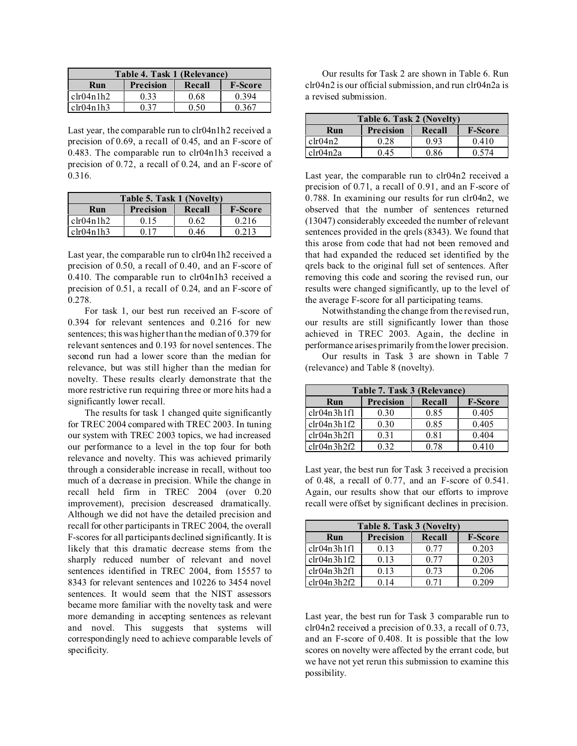| Table 4. Task 1 (Relevance)                         |      |      |       |  |
|-----------------------------------------------------|------|------|-------|--|
| <b>Precision</b><br><b>F-Score</b><br>Recall<br>Run |      |      |       |  |
| $ch(04n)$ 1h2                                       | 0.33 | 0.68 | 0.394 |  |
| clr04n1h3                                           | 0.37 | 0.50 | 0.367 |  |

Last year, the comparable run to clr04n1h2 received a precision of 0.69, a recall of 0.45, and an F-score of 0.483. The comparable run to clr04n1h3 received a precision of 0.72, a recall of 0.24, and an F-score of 0.316.

| Table 5. Task 1 (Novelty)                           |      |      |       |  |
|-----------------------------------------------------|------|------|-------|--|
| <b>F-Score</b><br><b>Precision</b><br>Run<br>Recall |      |      |       |  |
| ch(04n1h2)                                          | 0.15 | 0.62 | 0.216 |  |
| chr04n1h3                                           | ດ 17 | 0.46 | 0.213 |  |

Last year, the comparable run to clr04n1h2 received a precision of 0.50, a recall of 0.40, and an F-score of 0.410. The comparable run to clr04n1h3 received a precision of 0.51, a recall of 0.24, and an F-score of 0.278.

For task 1, our best run received an F-score of 0.394 for relevant sentences and 0.216 for new sentences; this was higher than the median of 0.379 for relevant sentences and 0.193 for novel sentences. The second run had a lower score than the median for relevance, but was still higher than the median for novelty. These results clearly demonstrate that the more restrictive run requiring three or more hits had a significantly lower recall.

The results for task 1 changed quite significantly for TREC 2004 compared with TREC 2003. In tuning our system with TREC 2003 topics, we had increased our performance to a level in the top four for both relevance and novelty. This was achieved primarily through a considerable increase in recall, without too much of a decrease in precision. While the change in recall held firm in TREC 2004 (over 0.20 improvement), precision descreased dramatically. Although we did not have the detailed precision and recall for other participants in TREC 2004, the overall F-scores for all participants declined significantly. It is likely that this dramatic decrease stems from the sharply reduced number of relevant and novel sentences identified in TREC 2004, from 15557 to 8343 for relevant sentences and 10226 to 3454 novel sentences. It would seem that the NIST assessors became more familiar with the novelty task and were more demanding in accepting sentences as relevant and novel. This suggests that systems will correspondingly need to achieve comparable levels of specificity.

Our results for Task 2 are shown in Table 6. Run clr04n2 is our official submission, and run clr04n2a is a revised submission.

| Table 6. Task 2 (Novelty)                           |      |      |       |  |
|-----------------------------------------------------|------|------|-------|--|
| <b>Precision</b><br><b>F-Score</b><br>Recall<br>Run |      |      |       |  |
| clr04n2                                             | 0.28 | 0.93 | 0.410 |  |
| clr04n2a                                            | በ 45 | 0.86 | በ 574 |  |

Last year, the comparable run to clr04n2 received a precision of 0.71, a recall of 0.91, and an F-score of 0.788. In examining our results for run clr04n2, we observed that the number of sentences returned (13047) considerably exceeded the number of relevant sentences provided in the qrels (8343). We found that this arose from code that had not been removed and that had expanded the reduced set identified by the qrels back to the original full set of sentences. After removing this code and scoring the revised run, our results were changed significantly, up to the level of the average F-score for all participating teams.

Notwithstanding the change from the revised run, our results are still significantly lower than those achieved in TREC 2003. Again, the decline in performance arises primarily from the lower precision.

Our results in Task 3 are shown in Table 7 (relevance) and Table 8 (novelty).

| Table 7. Task 3 (Relevance) |                  |        |                |  |  |
|-----------------------------|------------------|--------|----------------|--|--|
| Run                         | <b>Precision</b> | Recall | <b>F-Score</b> |  |  |
| chr04n3h1f1                 | 0.30             | 0.85   | 0.405          |  |  |
| chr04n3h1f2                 | 0.30             | 0.85   | 0.405          |  |  |
| chr04n3h2f1                 | 0.31             | 0.81   | 0.404          |  |  |
| chr04n3h2f2                 | 0.32             | O 78   | 0.410          |  |  |

Last year, the best run for Task 3 received a precision of 0.48, a recall of 0.77, and an F-score of 0.541. Again, our results show that our efforts to improve recall were offset by significant declines in precision.

| Table 8. Task 3 (Novelty)                    |      |      |       |  |  |
|----------------------------------------------|------|------|-------|--|--|
| Precision<br><b>F-Score</b><br>Recall<br>Run |      |      |       |  |  |
| chr04n3h1f1                                  | 0.13 | 0.77 | 0.203 |  |  |
| chr04n3h1f2                                  | 0.13 | 0.77 | 0.203 |  |  |
| chr04n3h2f1                                  | 0.13 | 0.73 | 0.206 |  |  |
| chr04n3h2f2                                  | 0.14 | በ 71 | 0.209 |  |  |

Last year, the best run for Task 3 comparable run to clr04n2 received a precision of 0.33, a recall of 0.73, and an F-score of 0.408. It is possible that the low scores on novelty were affected by the errant code, but we have not yet rerun this submission to examine this possibility.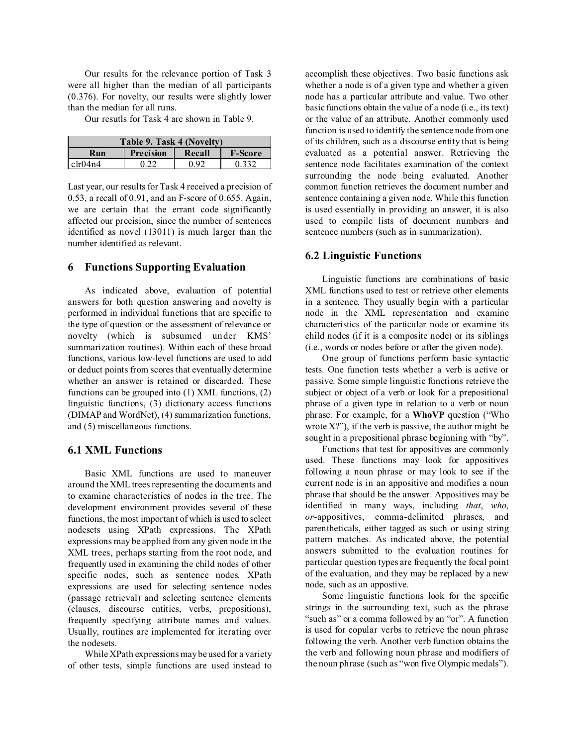Our results for the relevance portion of Task 3 were all higher than the median of all participants (0.376). For novelty, our results were slightly lower than the median for all runs.

Our resutls for Task 4 are shown in Table 9.

| Table 9. Task 4 (Novelty)                           |      |      |       |  |
|-----------------------------------------------------|------|------|-------|--|
| <b>Precision</b><br><b>F-Score</b><br>Run<br>Recall |      |      |       |  |
| clr04n4                                             | 0.22 | በ ዓን | 0.332 |  |

Last year, our results for Task 4 received a precision of 0.53, a recall of 0.91, and an F-score of 0.655. Again, we are certain that the errant code significantly affected our precision, since the number of sentences identified as novel (13011) is much larger than the number identified as relevant.

# **6 Functions Supporting Evaluation**

As indicated above, evaluation of potential answers for both question answering and novelty is performed in individual functions that are specific to the type of question or the assessment of relevance or novelty (which is subsumed under KMS' summarization routines). Within each of these broad functions, various low-level functions are used to add or deduct points from scores that eventually determine whether an answer is retained or discarded. These functions can be grouped into (1) XML functions, (2) linguistic functions, (3) dictionary access functions (DIMAP and WordNet), (4) summarization functions, and (5) miscellaneous functions.

# **6.1 XML Functions**

Basic XML functions are used to maneuver around the XML trees representing the documents and to examine characteristics of nodes in the tree. The development environment provides several of these functions, the most important of which is used to select nodesets using XPath expressions. The XPath expressions may be applied from any given node in the XML trees, perhaps starting from the root node, and frequently used in examining the child nodes of other specific nodes, such as sentence nodes. XPath expressions are used for selecting sentence nodes (passage retrieval) and selecting sentence elements (clauses, discourse entities, verbs, prepositions), frequently specifying attribute names and values. Usually, routines are implemented for iterating over the nodesets.

While XPath expressions may be used for a variety of other tests, simple functions are used instead to accomplish these objectives. Two basic functions ask whether a node is of a given type and whether a given node has a particular attribute and value. Two other basic functions obtain the value of a node (i.e., its text) or the value of an attribute. Another commonly used function is used to identify the sentence node from one of its children, such as a discourse entity that is being evaluated as a potential answer. Retrieving the sentence node facilitates examination of the context surrounding the node being evaluated. Another common function retrieves the document number and sentence containing a given node. While this function is used essentially in providing an answer, it is also used to compile lists of document numbers and sentence numbers (such as in summarization).

#### **6.2 Linguistic Functions**

Linguistic functions are combinations of basic XML functions used to test or retrieve other elements in a sentence. They usually begin with a particular node in the XML representation and examine characteristics of the particular node or examine its child nodes (if it is a composite node) or its siblings (i.e., words or nodes before or after the given node).

One group of functions perform basic syntactic tests. One function tests whether a verb is active or passive. Some simple linguistic functions retrieve the subject or object of a verb or look for a prepositional phrase of a given type in relation to a verb or noun phrase. For example, for a **WhoVP** question ("Who wrote  $X$ ?"), if the verb is passive, the author might be sought in a prepositional phrase beginning with "by".

Functions that test for appositives are commonly used. These functions may look for appositives following a noun phrase or may look to see if the current node is in an appositive and modifies a noun phrase that should be the answer. Appositives may be identified in many ways, including *that*, *who*, *or*-appositives, comma-delimited phrases, and parentheticals, either tagged as such or using string pattern matches. As indicated above, the potential answers submitted to the evaluation routines for particular question types are frequently the focal point of the evaluation, and they may be replaced by a new node, such as an appostive.

Some linguistic functions look for the specific strings in the surrounding text, such as the phrase "such as" or a comma followed by an "or". A function is used for copular verbs to retrieve the noun phrase following the verb. Another verb function obtains the the verb and following noun phrase and modifiers of the noun phrase (such as "won five Olympic medals").